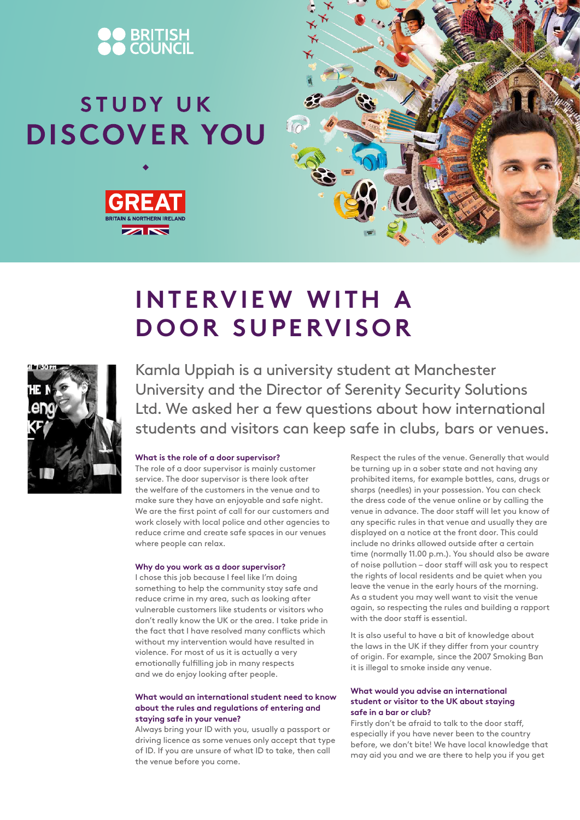

# STUDY UK **DISCOVER YOU**





## **INTERVIEW WITH A DOOR SUPERVISOR**



Kamla Uppiah is a university student at Manchester University and the Director of Serenity Security Solutions Ltd. We asked her a few questions about how international students and visitors can keep safe in clubs, bars or venues.

#### **What is the role of a door supervisor?**

The role of a door supervisor is mainly customer service. The door supervisor is there look after the welfare of the customers in the venue and to make sure they have an enjoyable and safe night. We are the first point of call for our customers and work closely with local police and other agencies to reduce crime and create safe spaces in our venues where people can relax.

#### **Why do you work as a door supervisor?**

I chose this job because I feel like I'm doing something to help the community stay safe and reduce crime in my area, such as looking after vulnerable customers like students or visitors who don't really know the UK or the area. I take pride in the fact that I have resolved many conflicts which without my intervention would have resulted in violence. For most of us it is actually a very emotionally fulfilling job in many respects and we do enjoy looking after people.

### **What would an international student need to know about the rules and regulations of entering and staying safe in your venue?**

Always bring your ID with you, usually a passport or driving licence as some venues only accept that type of ID. If you are unsure of what ID to take, then call the venue before you come.

Respect the rules of the venue. Generally that would be turning up in a sober state and not having any prohibited items, for example bottles, cans, drugs or sharps (needles) in your possession. You can check the dress code of the venue online or by calling the venue in advance. The door staff will let you know of any specific rules in that venue and usually they are displayed on a notice at the front door. This could include no drinks allowed outside after a certain time (normally 11.00 p.m.). You should also be aware of noise pollution – door staff will ask you to respect the rights of local residents and be quiet when you leave the venue in the early hours of the morning. As a student you may well want to visit the venue again, so respecting the rules and building a rapport with the door staff is essential.

It is also useful to have a bit of knowledge about the laws in the UK if they differ from your country of origin. For example, since the 2007 Smoking Ban it is illegal to smoke inside any venue.

#### **What would you advise an international student or visitor to the UK about staying safe in a bar or club?**

Firstly don't be afraid to talk to the door staff, especially if you have never been to the country before, we don't bite! We have local knowledge that may aid you and we are there to help you if you get